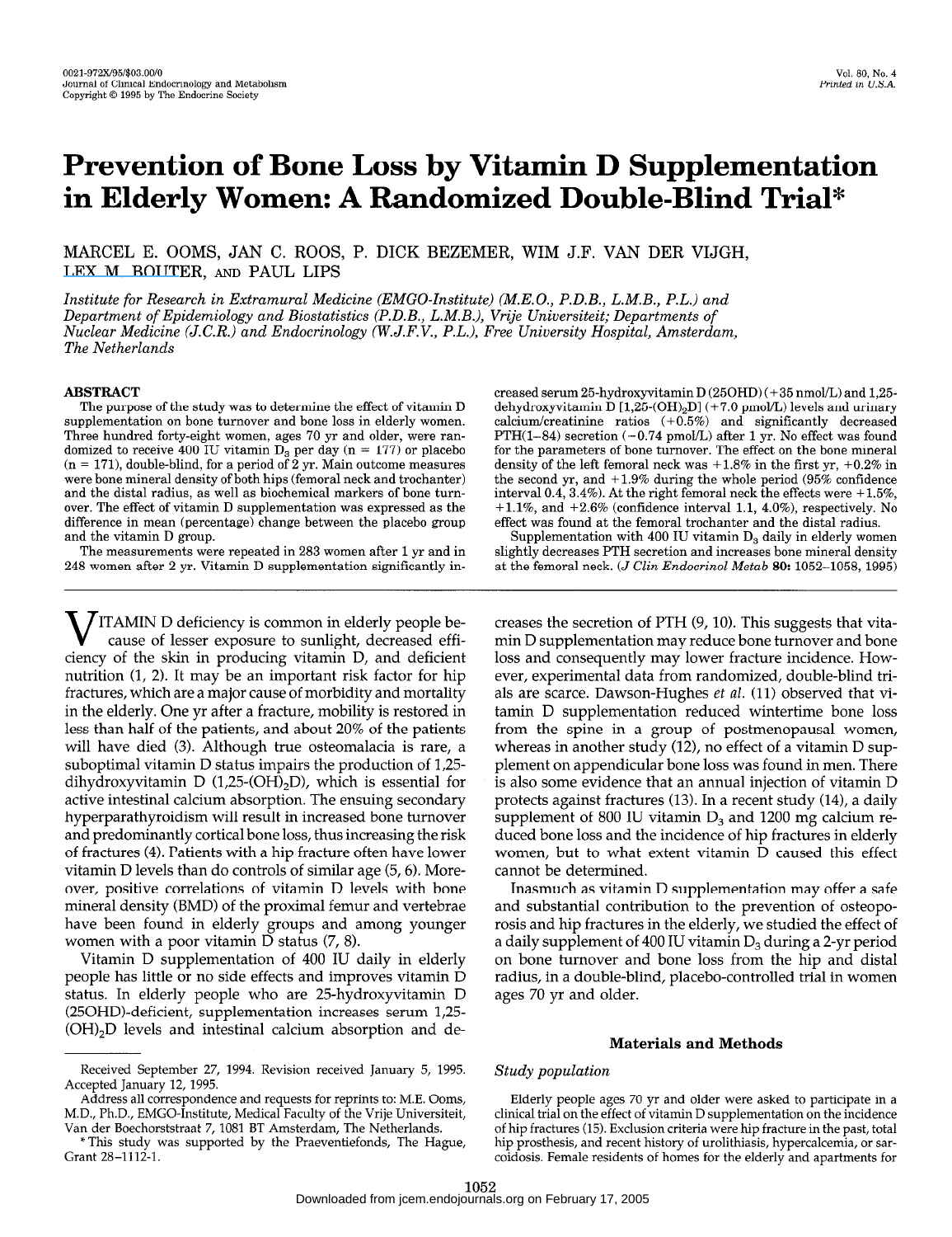# Prevention of Bone Loss by Vitamin D Supplementation in Elderly Women: A Randomized Double-Blind Trial\*

MARCEL E. OOMS, JAN C. ROOS, P. DICK BEZEMER, WIM J.F. VAN DER VIJGH, [LEX M. BOUTER](https://www.researchgate.net/profile/Lex_Bouter?el=1_x_100&enrichId=rgreq-54cc631dd2dd36d38b39322e93cc0971-XXX&enrichSource=Y292ZXJQYWdlOzE1NDg1MjUwO0FTOjExMzQ5MzI5NDQ1NjgzMkAxNDA0MDcwMzE4MDcz), AND PAUL LIPS

Institute for Research in Extramural Medicine (EMGO-Institute) (M.E.O., P.D.B., L.M.B., P.L.) and Department of Epidemiology and Biostatistics (P.D.B., L.M.B.), Vrije Universiteit; Departments of Nuclear Medicine (J.C.R.) and Endocrinology (W.J.F.V., P.L.), Free University Hospital, Amsterdam, The Netherlands

# ABSTRACT

The purpose of the study was to determine the effect of vitamin D supplementation on bone turnover and bone loss in elderly women. Three hundred forty-eight women, ages 70 yr and older, were randomized to receive 400 IU vitamin  $\overline{D_3}$  per day (n = 177) or placebo  $(n = 171)$ , double-blind, for a period of 2 yr. Main outcome measures were bone mineral density of both hips (femoral neck and trochanter) and the distal radius, as well as biochemical markers of bone turnover. The effect of vitamin D supplementation was expressed as the difference in mean (percentage) change between the placebo group and the vitamin D group.

The measurements were repeated in 283 women after 1 yr and in 248 women after 2 yr. Vitamin D supplementation significantly in-

V ITAMIN D deficiency is common in elderly people be-cause of lesser exposure to sunlight, decreased efficiency of the skin in producing vitamin D, and deficient nutrition (1, 2). It may be an important risk factor for hip fractures, which are a major cause of morbidity and mortality in the elderly. One yr after a fracture, mobility is restored in less than half of the patients, and about 20% of the patients will have died (3). Although true osteomalacia is rare, a suboptimal vitamin D status impairs the production of 1,25  $d$ dihydroxyvitamin D status inipairs the production of  $1/20$ amyaroxyvitamin  $D(1,25-(0.11/2D))$ , which is essential for active intestinal calcium absorption. The ensuing secondary hyperparathy roidism will result in increased bone turnover and predominantly cortical bone loss, thus increasing the risk of fractures (4). Patients with a hip fracture often have lower vitamin D levels than do controls of similar age  $(5, 6)$ . Moreover, positive correlations of vitamin D levels with bone mineral density (BMD) of the proximal femur and vertebrae have been found in elderly groups and among younger women with a poor vitamin D status  $(7, 8)$ .

Vitamin D supplementation of 400 IU daily in elderly people has little or no side effects and improves vitamin D status. In elderly people who are 25-hydroxyvitamin D  $(25OHD)$ -deficient, supplementation increases serum 1,25- $(OH)_2D$  levels and intestinal calcium absorption and de-

Address all correspondence and requests for reprints to: M.E. Ooms, M.D., Ph.D., EMGO-Institute, Medical Faculty of the Vrije Universiteit, Van der Boechorststraat 7, 1081 BT Amsterdam, The Netherlands.

creased serum 25hydroxyvitamin D (250HD) (+35 nmol/L) and 1,25 dehydroxyvitamin D  $[1,25\text{-}(OH)_2D]$  (+7.0 pmol/L) levels and urinary calcium/creatinine ratios  $(+0.5%)$  and significantly decreased  $\mathrm{PTH}(1\mathrm{-}84)$  secretion  $(\mathrm{-}0.74$   $\mathrm{pmo/L})$  after 1 yr. No effect was found for the parameters of bone turnover. The effect on the bone mineral density of the left femoral neck was  $+1.8\%$  in the first yr,  $+0.2\%$  in the second yr, and  $+1.9\%$  during the whole period (95% confidence interval 0.4, 3.4%). At the right femoral neck the effects were  $+1.5\%$ ,  $+1.1\%$ , and  $+2.6\%$  (confidence interval 1.1, 4.0%), respectively. No effect was found at the femoral trochanter and the distal radius.

Supplementation with 400 IU vitamin  $D_3$  daily in elderly women slightly decreases PTH secretion and increases bone mineral density at the femoral neck. (J Clin Endocrinol Metub 80: 1052-1058, 1995)

creases the secretion of PTH (9, 10). This suggests that vitamin D supplementation may reduce bone turnover and bone loss and consequently may lower fracture incidence. However, experimental data from randomized, double-blind trials are scarce. Dawson-Hughes et al. (11) observed that vitamin D supplementation reduced wintertime bone loss from the spine in a group of postmenopausal women, where the spine in a group of positive disposal women, whereas in another study  $(12)$ , no effect of a vitamin  $D$  sup-<br>whereas in appear display have loss was found in men. There plement on appendicular bone loss was found in men. There is also some evidence that an annual injection of vitamin D protects against fractures  $(13)$ . In a recent study  $(14)$ , a daily supplement of 800 IU vitamin  $D_3$  and 1200 mg calcium reduced bone loss and the incidence of hip fractures in elderly women, but to what extent vitamin D caused this effect cannot be determined.  $\frac{1}{2}$  determined.

inasinuch as vitamin D supplementation may offer a safe and substantial contribution to the prevention of osteoporosis and hip fractures in the elderly, we studied the effect of a daily supplement of 400 IU vitamin  $D_3$  during a 2-yr period on bone turnover and bone loss from the hip and distal radius, in a double-blind, placebo-controlled trial in women<br>ages 70 yr and older.

#### Materials and Methods

#### Study population

Elderly people ages 70 yr and older were asked to participate in a clinical trial on the effect of vitamin D supplementation on the incidence of hip fractures (15). Exclusion criteria were hip fracture in the past, total hip prosthesis, and recent history of urolithiasis, hypercalcemia, or sarcoidosis. Female residents of homes for the elderly and apartments for

Received September 27, 1994. Revision received January 5, 1995. Received September 27, 1994. Revision received January 5, 1995. Accepted January 12, 1995.

<sup>\*</sup> This study was supported by the Praeventiefonds, The Hague, Grant 28-1112-1.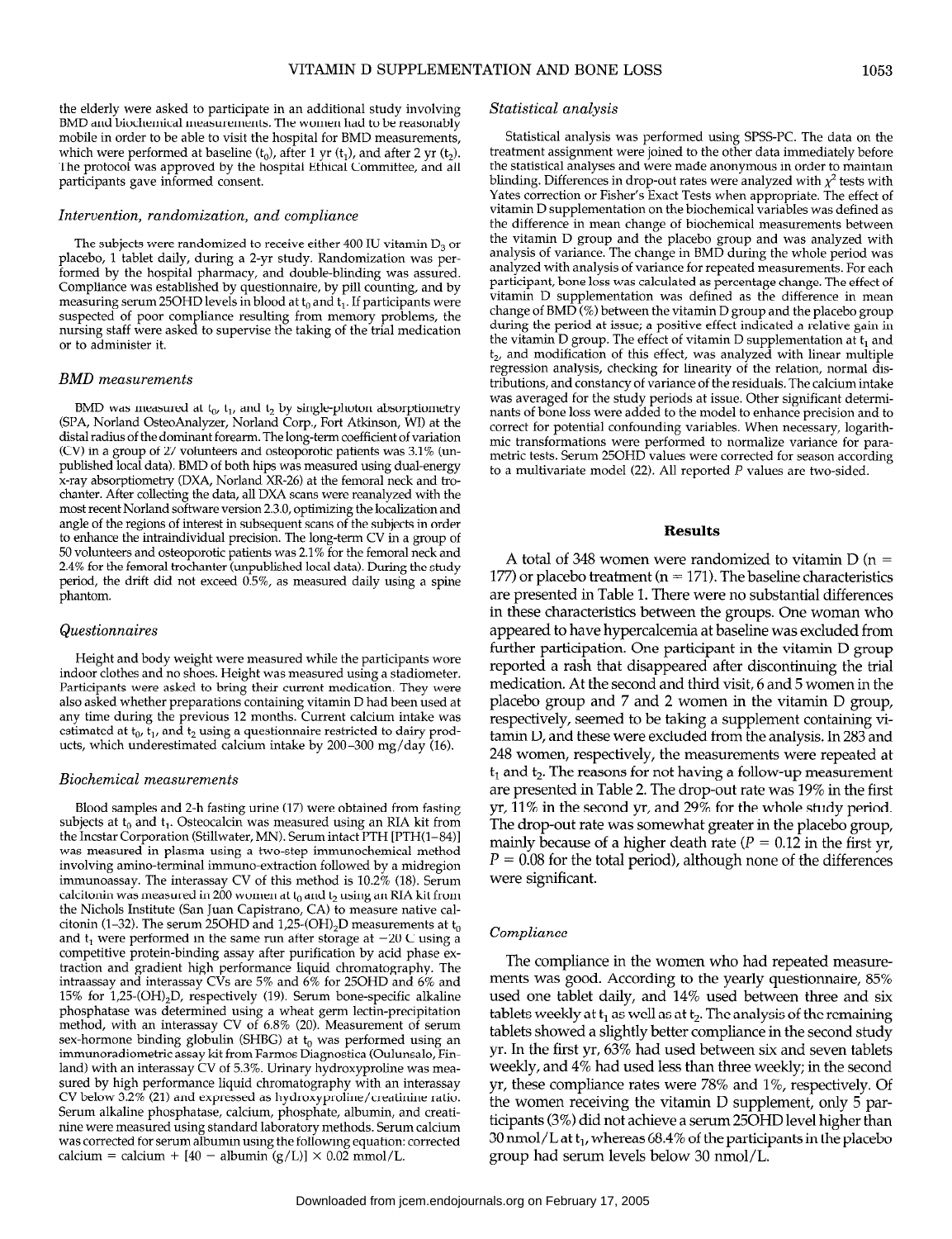the elderly were asked to participate in an additional study involving BMD and biochemical measurements. The women had to be reasonably mobile in order to be able to visit the hospital for BMD measurements, which were performed at baseline  $(t_0)$ , after 1 yr  $(t_1)$ , and after 2 yr  $(t_2)$ . The protocol was approved by the hospital Ethical Committee, and all participants gave informed consent.

#### Intervention, randomization, and compliance

The subjects were randomized to receive either 400 IU vitamin  $D_3$  or placebo, 1 tablet daily, during a 2-yr study. Randomization was performed by the hospital pharmacy, and double-blinding was assured. Compliance was established by questionnaire, by pill counting, and by measuring serum 250HD levels in blood at  $t_0$  and  $t_1$ . If participants were suspected of poor compliance resulting from memory problems, the nursing staff were asked to supervise the taking of the trial medication or to administer it.

# BMD measurements

BMD was measured at  $t_0$ ,  $t_1$ , and  $t_2$  by single-photon absorptiometry (SPA, Norland OsteoAnalyzer, Norland Corp., Fort Atkinson, WI) at the distal radius of the dominant foreann. The long-term coefficient of variation (CV) in a group of 27 volunteers and osteoporotic patients was 3.1% (unpublished local data). BMD of both hips was measured using dual-energy x-ray absorptiometry (DXA, Norland XR-26) at the femoral neck and trochanter. After collecting the data, all DXA scans were reanalyzed with the most recent Norland software version 2.3.0, optimizing the localization and angle of the regions of interest in subsequent scans of the subjects in order to enhance the intraindividual precision. The long-term CV in a group of 50 volunteers and osteoporotic patients was 2.1% for the femoral neck and 2.4% for the femoral trochanter (unpublished local data). During the study period, the drift did not exceed 0.5%, as measured daily using a spine phantom.

## Questionnaires

Height and body weight were measured while the participants wore indoor clothes and no shoes. Height was measured using a stadiometer. Participants were asked to bring their current medication. They were also asked whether preparations containing vitamin D had been used at any time during the previous 12 months. Current calcium intake was estimated at  $t_0$ ,  $\bar{t}_1$ , and  $t_2$  using a questionnaire restricted to dairy products, which underestimated calcium intake by 200-300 mg/day (16).

#### Biochemical measurements

 $B_1$  fasting urine (17) were obtained from fasting urine from fasting urine from fasting from fasting from fasting from fasting from fasting from fasting from fasting from fasting from fasting from fasting from fasting f subject subjects and 2 in alsung urine (17) were obtained from fasting subjects at  $t_0$  and  $t_1$ . Osteocalcin was measured using an RIA kit from the Incstar Corporation (Stillwater, MN). Serum intact PTH  $[PTH(1-84)]$ was measured in plasma using a two-step immunochemical method involving amino-terminal immuno-extraction followed by a midregion immunoassay. The interassay CV of this method is  $10.2\%$  (18). Serum calcitonin was measured in 200 women at  $t_0$  and  $t_2$  using an RIA kit from the Nichols Institute (San Juan Capistrano, CA) to measure native calcitonin (1–32). The serum 25OHD and 1,25-(OH)<sub>2</sub>D measurements at  $t_0$ and t<sub>1</sub> were performed in the same run after storage at  $-20$  C using a competitive protein-binding assay after purification by acid phase exinaction and gradient high periodinance inquid chromatography. The  $m_{\rm d}$  and  $m_{\rm d}$  interassay  $\sim$  vs are  $3\%$  and  $6\%$  for  $25\text{O}$  iD and  $6\%$  al 15% for  $1,25$ -(OH)<sub>2</sub>D, respectively (19). Serum bone-specific alkaline phosphatase was determined using a wheat germ lectin-precipitation method, with an interassay CV of  $6.8\%$  (20). Measurement of serum sex-hormone binding globulin (SHBG) at  $t_0$  was performed using an immunoradiometric assay kit from Farmos Diagnostica (Oulunsalo, Finland) with an interassay CV of 5.3%. Urinary hydroxyproline was measured by high performance liquid chromatography with an interassay CV below 3.2% (21) and expressed as hydroxyproline/creatinine ratio. Serum alkaline phosphatase, calcium, phosphate, albumin, and creatinine were measured using standard laboratory methods. Serum calcium was corrected for serum albumin using the following equation: corrected calcium = calcium +  $[40 - \text{albumin (g/L)} \times 0.02 \text{ mmol/L}$ .

# Statistical analysis

Statistical analysis was performed using SPSS-PC. The data on the treatment assignment were joined to the other data immediately before the statistical analyses and were made anonymous in order to maintain blinding. Differences in drop-out rates were analyzed with  $\chi^2$  tests with Yates correction or Fisher's Exact Tests when appropriate. The effect of vitamin D supplementation on the biochemical variables was defined as the difference in mean change of biochemical measurements between the vitamin D group and the placebo group and was analyzed with analysis of variance. The change in BMD during the whole period was analyzed with analysis of variance for repeated measurements. For each participant, bone loss was calculated as percentage change. The effect of vitamin D supplementation was defined as the difference in mean change of BMD (%) between the vitamin D group and the placebo group during the period at issue; a positive effect indicated a relative gain in the vitamin D group. The effect of vitamin D supplementation at  $t_1$  and  $t<sub>2</sub>$ , and modification of this effect, was analyzed with linear multiple regression analysis, checking for linearity of the relation, normal distributions, and constancy of variance of the residuals. The calcium intake was averaged for the study periods at issue. Other significant determinants of bone loss were added to the model to enhance precision and to correct for potential confounding variables. When necessary, logarithmic transformations were performed to normalize variance for parametric tests. Serum 25OHD values were corrected for season according to a multivariate model (22). All reported P values are two-sided.

# Results

A total of 348 women were randomized to vitamin  $D(n =$ 177) or placebo treatment ( $n = 171$ ). The baseline characteristics are presented in Table 1. There were no substantial differences in these characteristics between the groups. One woman who appeared to have hypercalcemia at baseline was excluded from further participation. One participant in the vitamin D group reported a rash that disappeared after discontinuing the trial medication. At the second and third visit, 6 and 5 women in the placebo group and 7 and 2 women in the vitamin D group, respectively, seemed to be taking a supplement containing vitamin D, and these were excluded from the analysis. In 283 and alian D, and these were excluded from the analysis. In 200 and 248 women, respectively, the measurements were repeated at  $t_1$  and  $t_2$ . The reasons for not having a follow-up measurement are presented in Table 2. The drop-out rate was 19% in the first  $\frac{110}{2}$  in the second  $\frac{1}{2}$  and  $\frac{200}{2}$  for the whole study period. yt, 11% in the second yt, and 25% for the whole study period.<br>The drop-out rate was somewhat greater in the placebo group, The drop-out rate was somewhat greater in the place of group,  $P = 0.08$  for the total period), although  $P = 0.12$  in the dirst yr,  $P = 0.08$  for the total period), although none of the differences were significant.

#### Compliance

The compliance in the women who had repeated measureme compilance in the women who had repeated measurements was good. According to the yearly questionnaire, 85% used one tablet daily, and 14% used between three and six tablets weekly at  $t_1$  as well as at  $t_2$ . The analysis of the remaining tablets showed a slightly better compliance in the second study yr. In the first yr,  $63\%$  had used between six and seven tablets weekly, and 4% had used less than three weekly; in the second yr, these compliance rates were  $78\%$  and  $1\%$ , respectively. Of the women receiving the vitamin D supplement, only 5 participants (3%) did not achieve a serum 25OHD level higher than 30 nmol/L at  $t_1$ , whereas 68.4% of the participants in the placebo group had serum levels below 30 nmol/L.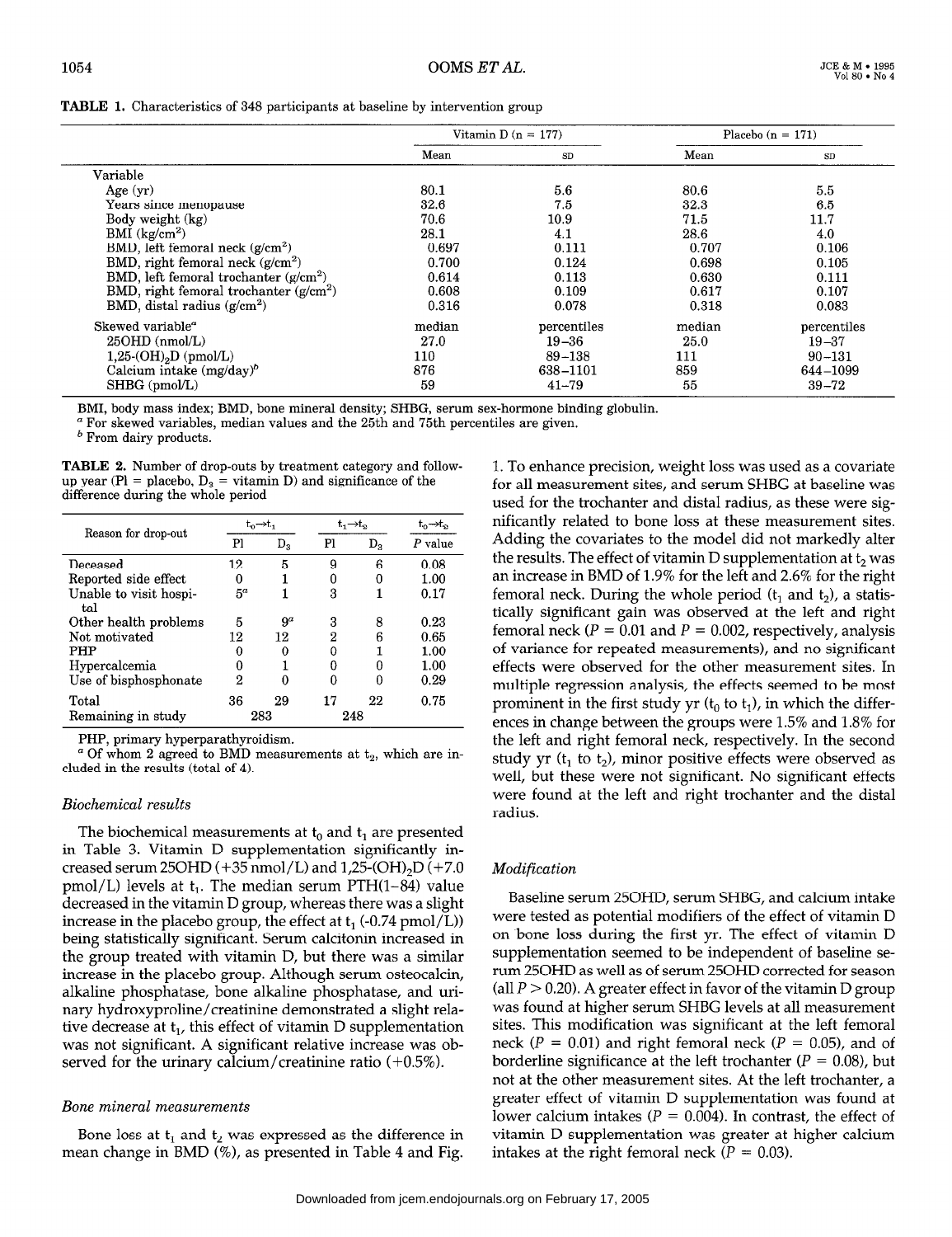|                                           | Vitamin D $(n = 177)$ |             |        | Placebo $(n = 171)$ |
|-------------------------------------------|-----------------------|-------------|--------|---------------------|
|                                           | Mean                  | SD          | Mean   | SD                  |
| Variable                                  |                       |             |        |                     |
| Age $(yr)$                                | 80.1                  | 5.6         | 80.6   | 5.5                 |
| Years since menopause                     | 32.6                  | 7.5         | 32.3   | 6.5                 |
| Body weight (kg)                          | 70.6                  | 10.9        | 71.5   | 11.7                |
| BMI $(kg/cm2)$                            | 28.1                  | 4.1         | 28.6   | 4.0                 |
| BMD, left femoral neck $(g/cm^2)$         | 0.697                 | 0.111       | 0.707  | 0.106               |
| BMD, right femoral neck $(g/cm^2)$        | 0.700                 | 0.124       | 0.698  | 0.105               |
| BMD, left femoral trochanter $(g/cm^2)$   | 0.614                 | 0.113       | 0.630  | 0.111               |
| BMD, right femoral trochanter $(g/cm^2)$  | 0.608                 | 0.109       | 0.617  | 0.107               |
| BMD, distal radius $(g/cm^2)$             | 0.316                 | 0.078       | 0.318  | 0.083               |
| Skewed variable <sup><math>a</math></sup> | median                | percentiles | median | percentiles         |
| $25OHD$ (nmol/L)                          | 27.0                  | $19 - 36$   | 25.0   | $19 - 37$           |
| $1,25\text{-}(OH)_{2}D$ (pmol/L)          | 110                   | $89 - 138$  | 111    | $90 - 131$          |
| Calcium intake $(mg/day)^b$               | 876                   | 638-1101    | 859    | 644-1099            |
| SHBG (pmol/L)                             | 59                    | $41 - 79$   | 55     | $39 - 72$           |

BMI, body mass index; BMD, bone mineral density; SHBG, serum sex-hormone binding globulin.

a For skewed variables, median values and the 25th and 75th percentiles are given.

b From dairy products.

TABLE 2. Number of drop-outs by treatment category and followup year (Pl = placebo,  $D_3$  = vitamin D) and significance of the difference during the whole period

| Reason for drop-out    |       | t <sub>ո</sub> →tլ | t,→t, |              | τ∩→το     |
|------------------------|-------|--------------------|-------|--------------|-----------|
|                        | Pl    | D,                 | Pl    | $D_{\rm{2}}$ | $P$ value |
| Deceased               | 12    | 5                  | 9     | 6            | 0.08      |
| Reported side effect   |       |                    | 0     |              | 1.00      |
| Unable to visit hospi- | $5^a$ |                    | 3     |              | 0.17      |
| tal                    |       |                    |       |              |           |
| Other health problems  | 5     | $9^a$              | 3     | 8            | 0.23      |
| Not motivated          | 12    | 12                 | 2     | 6            | 0.65      |
| PHP                    | O     | 0                  | 0     |              | 1.00      |
| Hypercalcemia          | n     |                    | Ω     |              | $1.00\,$  |
| Use of bisphosphonate  | 2     | 0                  | n     |              | 0.29      |
| Total                  | 36    | 29                 | 17    | 22           | 0.75      |
| Remaining in study     |       | 283                | 248   |              |           |

PHP, primary hyperparathyroidism.

 $\alpha$  Of whom 2 agreed to BMD measurements at  $t_2$ , which are included in the results (total of 4).

# Biochemical results

The biochemical measurements at t, and t, are presented ine biochemical measurements at  $t_0$  and  $t_1$  are presented in Table 3. Vitamin D supplementation significantly increased serum 25OHD (+35 nmol/L) and  $1,25$ -(OH)<sub>2</sub>D (+7.0) pmol/L) levels at  $t_1$ . The median serum PTH $(1-84)$  value decreased in the vitamin D group, whereas there was a slight increase in the placebo group, the effect at  $t_1$  (-0.74 pmol/L)) being statistically significant. Serum calcitonin increased in the group treated with vitamin D, but there was a similar increase in the placebo group. Although serum osteocalcin, alkaline phosphatase, bone alkaline phosphatase, and urinary hydroxyproline/creatinine demonstrated a slight relative decrease at  $t_1$ , this effect of vitamin D supplementation was not significant. A significant relative increase was observed for the urinary calcium/creatinine ratio  $(+0.5\%)$ .

# Bone mineral measurements

Bone loss at t, and t, was expressed as the difference in Bone loss at  $t_1$  and  $t_2$  was expressed as the difference in 1. To enhance precision, weight loss was used as a covariate for all measurement sites, and serum SHBG at baseline was used for the trochanter and distal radius, as these were significantly related to bone loss at these measurement sites. Adding the covariates to the model did not markedly alter the results. The effect of vitamin D supplementation at  $t_2$  was an increase in BMD of 1.9% for the left and 2.6% for the right femoral neck. During the whole period  $(t_1$  and  $t_2$ ), a statistically significant gain was observed at the left and right femoral neck ( $P = 0.01$  and  $P = 0.002$ , respectively, analysis of variance for repeated measurements), and no significant effects were observed for the other measurement sites. In multiple regression analysis, the effects seemed to be most prominent in the first study yr  $(t_0$  to  $t_1$ ), in which the differences in change between the groups were 1.5% and 1.8% for the left and right femoral neck, respectively. In the second study yr ( $t_1$  to  $t_2$ ), minor positive effects were observed as study y (e<sub>1</sub> to e<sub>2</sub>), huntor positive effects were observed as wen, but these were not significant. To significant effects were found at the left and right trochanter and the distal radius.

# Modification

 $B = \frac{1}{2}$ baseline serum zouril, serum Sribu, and calcium intake were tested as potential modifiers of the effect of vitamin D on bone loss during the first yr. The effect of vitamin D supplementation seemed to be independent of baseline serum 25OHD as well as of serum 25OHD corrected for season (all  $P > 0.20$ ). A greater effect in favor of the vitamin D group was found at higher serum SHBG levels at all measurement sites. This modification was significant at the left femoral neck ( $P = 0.01$ ) and right femoral neck ( $P = 0.05$ ), and of borderline significance at the left trochanter ( $P = 0.08$ ), but not at the other measurement sites. At the left trochanter, a greater effect of vitamin D supplementation was found at lower calcium intakes ( $P = 0.004$ ). In contrast, the effect of vitamin D supplementation was greater at higher calcium intakes at the right femoral neck ( $P = 0.03$ ).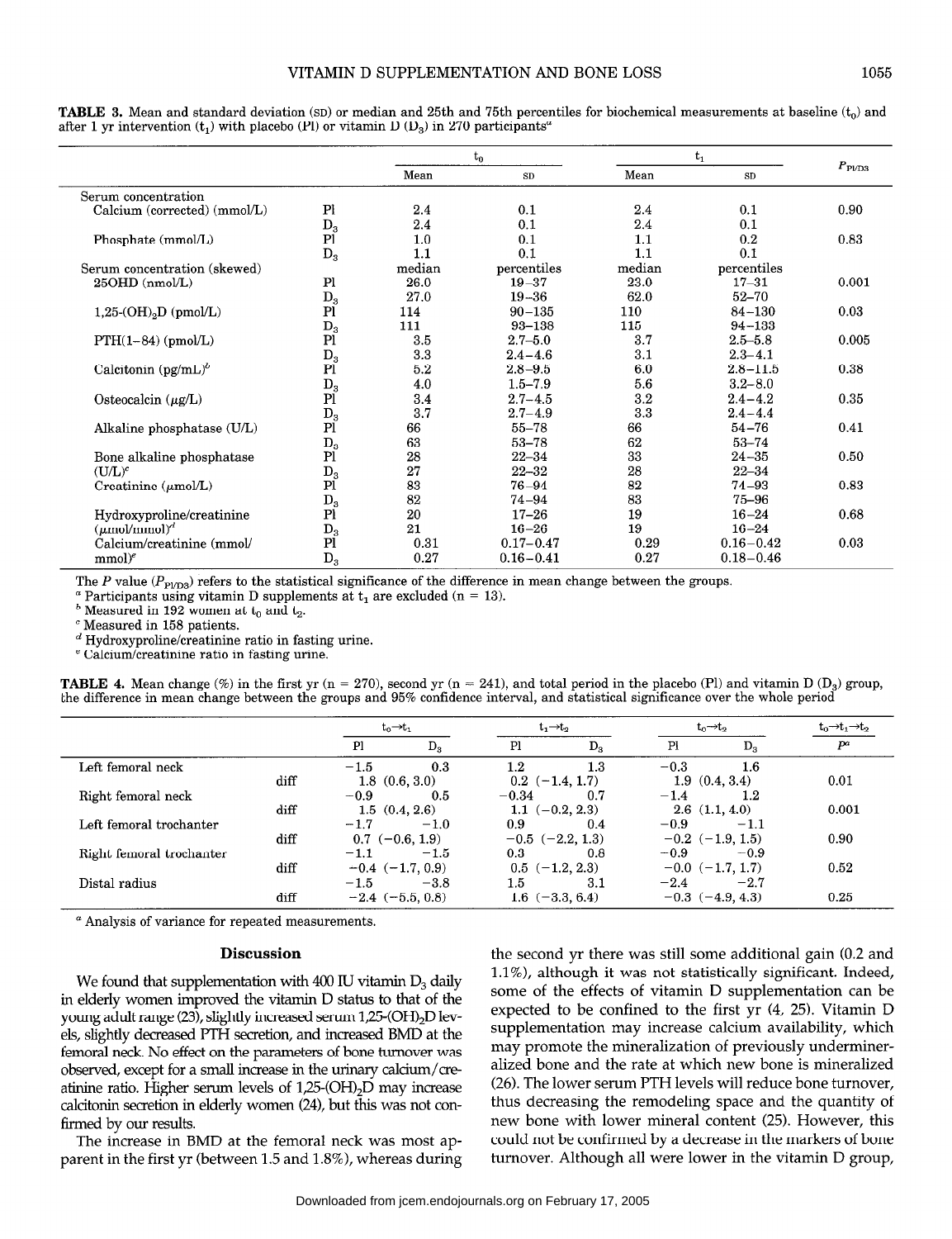|                                  |                  |        | $t_0$         |         | $t_1$         |                |
|----------------------------------|------------------|--------|---------------|---------|---------------|----------------|
|                                  |                  | Mean   | SD            | Mean    | <b>SD</b>     | $P_{\rm PUD3}$ |
| Serum concentration              |                  |        |               |         |               |                |
| Calcium (corrected) (mmol/L)     | P <sub>l</sub>   | 2.4    | 0.1           | 2.4     | 0.1           | 0.90           |
|                                  | $D_3$            | 2.4    | 0.1           | 2.4     | 0.1           |                |
| Phosphate (mmol/L)               | P <sub>1</sub>   | 1.0    | 0.1           | 1.1     | 0.2           | 0.83           |
|                                  | $\mathbf{D_{3}}$ | 1.1    | 0.1           | 1.1     | 0.1           |                |
| Serum concentration (skewed)     |                  | median | percentiles   | median  | percentiles   |                |
| 25OHD (nmol/L)                   | P1               | 26.0   | $19 - 37$     | 23.0    | $17 - 31$     | 0.001          |
|                                  | $D_3$            | 27.0   | $19 - 36$     | 62.0    | $52 - 70$     |                |
| $1,25\text{-}(OH)_{2}D$ (pmol/L) | Pi               | 114    | $90 - 135$    | 110     | $84 - 130$    | 0.03           |
|                                  | $\mathbf{D}_3$   | 111    | 93-138        | 115     | $94 - 133$    |                |
| $PTH(1-84)$ (pmol/L)             | Pi               | 3.5    | $2.7 - 5.0$   | 3.7     | $2.5 - 5.8$   | 0.005          |
|                                  | $D_3$            | 3.3    | $2.4 - 4.6$   | 3.1     | $2.3 - 4.1$   |                |
| Calcitonin $(pg/mL)^b$           | P <sub>1</sub>   | 5.2    | $2.8 - 9.5$   | 6.0     | $2.8 - 11.5$  | 0.38           |
|                                  | $D_3$            | 4.0    | $1.5 - 7.9$   | 5.6     | $3.2 - 8.0$   |                |
| Osteocalcin $(\mu g/L)$          | PI               | 3.4    | $2.7 - 4.5$   | $3.2\,$ | $2.4 - 4.2$   | 0.35           |
|                                  | $D_3$            | 3.7    | $2.7 - 4.9$   | 3.3     | $2.4 - 4.4$   |                |
| Alkaline phosphatase (U/L)       | PI               | 66     | $55 - 78$     | 66      | $54 - 76$     | 0.41           |
|                                  | $\mathbf{D}_3$   | 63     | $53 - 78$     | 62      | $53 - 74$     |                |
| Bone alkaline phosphatase        | Pi               | 28     | $22 - 34$     | 33      | $24 - 35$     | 0.50           |
| $(U/L)^c$                        | $D_3$            | 27     | $22 - 32$     | 28      | $22 - 34$     |                |
| Creatinine $(\mu \text{mol/L})$  | P <sub>1</sub>   | 83     | $76 - 94$     | 82      | $74 - 93$     | 0.83           |
|                                  | $D_3$            | 82     | $74 - 94$     | 83      | 75-96         |                |
| Hydroxyproline/creatinine        | P <sub>l</sub>   | 20     | $17 - 26$     | 19      | $16 - 24$     | 0.68           |
| $(\mu \text{mol/mmol})^d$        | $D_3$            | 21     | $16 - 26$     | 19      | $16 - 24$     |                |
| Calcium/creatinine (mmol/        | P <sub>1</sub>   | 0.31   | $0.17 - 0.47$ | 0.29    | $0.16 - 0.42$ | 0.03           |
| $mmol)^e$                        | $D_3$            | 0.27   | $0.16 - 0.41$ | 0.27    | $0.18 - 0.46$ |                |

**TABLE 3.** Mean and standard deviation (SD) or median and 25th and 75th percentiles for biochemical measurements at baseline  $(t_0)$  and after 1 yr intervention  $(t_1)$  with placebo (Pl) or vitamin D (D<sub>3</sub>) in 270 participants<sup>a</sup>

The P value  $(P_{\text{PID3}})$  refers to the statistical significance of the difference in mean change between the groups.

<sup>*a*</sup> Participants using vitamin D supplements at  $t_1$  are excluded (n = 13).

 $<sup>b</sup>$  Measured in 192 women at  $t_0$  and  $t_2$ .</sup>

' Measured in 158 patients.

 $d$  Hydroxyproline/creatinine ratio in fasting urine.

e Calcium/creatinine ratio in fasting urine.

**TABLE 4.** Mean change (%) in the first yr (n = 270), second yr (n = 241), and total period in the placebo (Pl) and vitamin D (D<sub>3</sub>) group, the difference in mean change between the groups and 95% confidence interval, and statistical significance over the whole period

|                          |      | $t_0 \rightarrow t_1$ |         | $t_1 \rightarrow t_2$ |         | $t_0 \rightarrow t_2$ |         | $t_0 \rightarrow t_1 \rightarrow t_2$ |
|--------------------------|------|-----------------------|---------|-----------------------|---------|-----------------------|---------|---------------------------------------|
|                          |      | Pl                    | $D_{3}$ | Pl                    | $D_{3}$ | P1                    | $D_{3}$ | $P^a$                                 |
| Left femoral neck        |      | $-1.5$                | 0.3     | 1.2                   | 1.3     | $-0.3$                | 1.6     |                                       |
|                          | diff | 1.8(0.6, 3.0)         |         | $0.2$ $(-1.4, 1.7)$   |         | 1.9(0.4, 3.4)         |         | 0.01                                  |
| Right femoral neck       |      | $-0.9$                | 0.5     | $-0.34$               | 0.7     | $-1.4$                | $1.2\,$ |                                       |
|                          | diff | 1.5(0.4, 2.6)         |         | $1.1 \ (-0.2, 2.3)$   |         | 2.6(1.1, 4.0)         |         | 0.001                                 |
| Left femoral trochanter  |      | $-1.7$                | $-1.0$  | 0.9                   | 0.4     | $-0.9$                | $-1.1$  |                                       |
|                          | diff | $0.7$ (-0.6, 1.9)     |         | $-0.5$ $(-2.2, 1.3)$  |         | $-0.2$ $(-1.9, 1.5)$  |         | 0.90                                  |
| Right femoral trochanter |      | $-1.1$                | $-1.5$  | 0.3                   | 0.8     | $-0.9$                | $-0.9$  |                                       |
|                          | diff | $-0.4$ $(-1.7, 0.9)$  |         | $0.5$ $(-1.2, 2.3)$   |         | $-0.0$ $(-1.7, 1.7)$  |         | 0.52                                  |
| Distal radius            |      | $-1.5$                | $-3.8$  | 1.5                   | 3.1     | $-2.4$                | $-2.7$  |                                       |
|                          | diff | $-2.4$ $(-5.5, 0.8)$  |         | $1.6 \; (-3.3, 6.4)$  |         | $-0.3$ $(-4.9, 4.3)$  |         | 0.25                                  |

a Analysis of variance for repeated measurements.

# Discussion

We found that supplementation with 400 IU vitamin Ds daily we round that supplementation with  $400$  IO vitamin  $D_3$  daily in elderly women improved the vitamin D status to that of the young adult range (23), slightly increased serum  $1,25$ -(OH) $_2$ D levels, slightly decreased PTH secretion, and increased BMD at the femoral neck. No effect on the parameters of bone turnover was observed, except for a small increase in the urinary calcium/creatinine ratio. Higher serum levels of  $1,25$ -(OH)<sub>2</sub>D may increase calcitonin secretion in elderly women (24), but this was not confirmed by our results.  $T$  increase in BMD at the femoral neck was most approximately in  $T$  and  $T$  approximately in  $T$  approximately in  $T$  and  $T$  approximately in  $T$  and  $T$  and  $T$  and  $T$  and  $T$  and  $T$  and  $T$  and  $T$  and  $T$  and  $T$ 

The increase in BMD at the femoral neck was most ap-

the second yr there was still some additional gain (0.2 and lie second yr there was still some additional gain  $(0.2$  and  $1.48$ 1.1%), although it was not statistically significant. Indeed, some of the effects of vitamin D supplementation can be expected to be confined to the first yr  $(4, 25)$ . Vitamin D supplementation may increase calcium availability, which may promote the mineralization of previously undermineralized bone and the rate at which new bone is mineralized (26). The lower serum PTH levels will reduce bone turnover, thus decreasing the remodeling space and the quantity of new bone with lower mineral content (25). However, this could not be confirmed by a decrease in the markers of bone turnover. Although all were lower in the vitamin D group,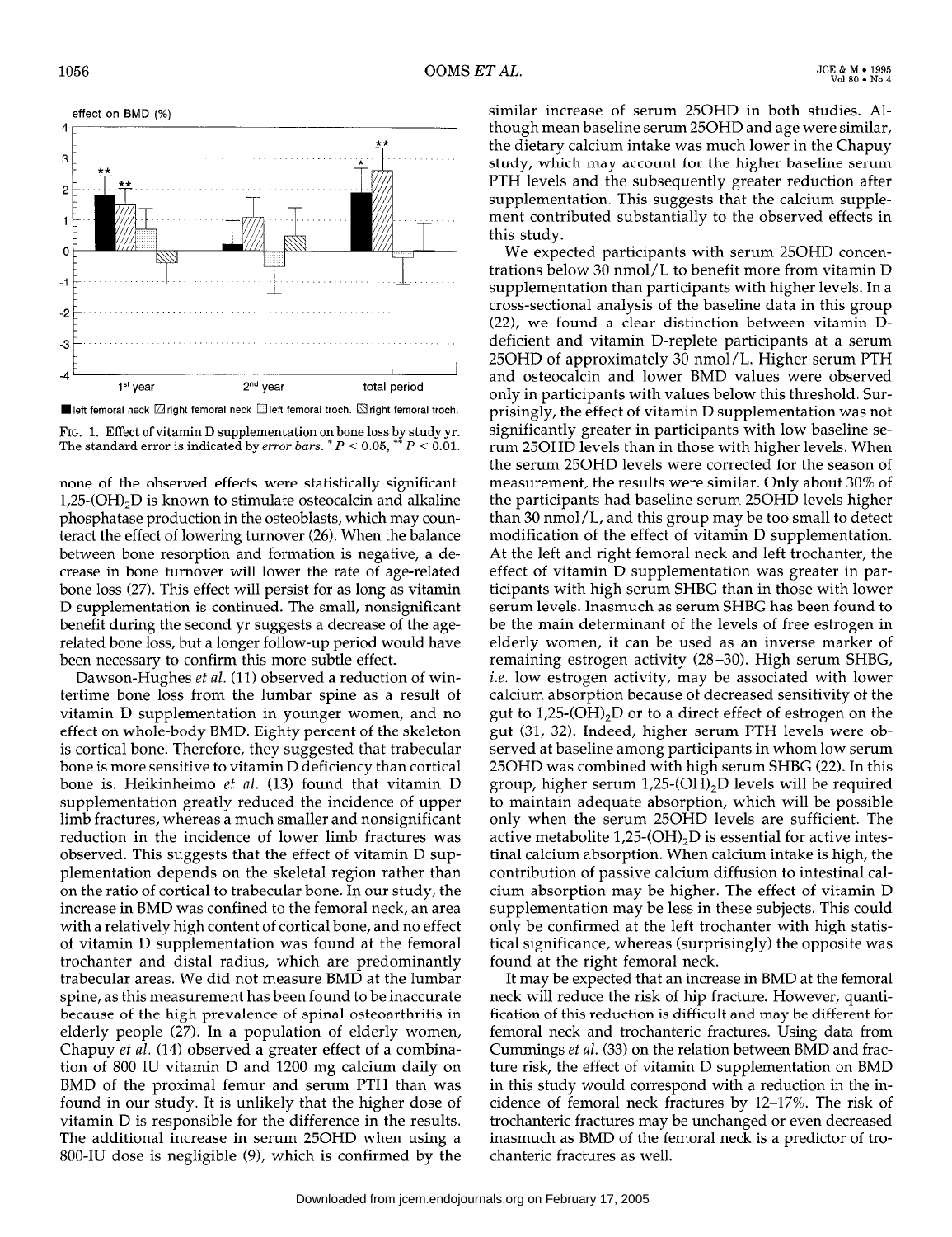

FIG. 1. Effect of vitamin D supplementation on bone loss by study yr. The standard error is indicated by *error bars.*  $P < 0.05$ ,  $P < 0.01$ .

none of the observed effects were statistically significant.  $1,25\text{-}(OH)_{2}D$  is known to stimulate osteocalcin and alkaline phosphatase production in the osteoblasts, which may counteract the effect of lowering turnover (26). When the balance between bone resorption and formation is negative, a decrease in bone turnover will lower the rate of age-related bone loss (27). This effect will persist for as long as vitamin D supplementation is continued. The small, nonsignificant benefit during the second yr suggests a decrease of the agerelated bone loss, but a longer follow-up period would have been necessary to confirm this more subtle effect.

Dawson-Hughes et al. (11) observed a reduction of wintertime bone loss from the lumbar spine as a result of vitamin D supplementation in younger women, and no effect on whole-body BMD. Eighty percent of the skeleton is cortical bone. Therefore, they suggested that trabecular bone is more sensitive to vitamin D deficiency than cortical bone is. Heikinheimo et al. (13) found that vitamin D bone is. Heikhneimo *et al.* (15) found that vitamin D supplementation greatly reduced the incidence of upper limb fractures, whereas a much smaller and nonsignificant reduction in the incidence of lower limb fractures was observed. This suggests that the effect of vitamin D supplementation depends on the skeletal region rather than on the ratio of cortical to trabecular bone. In our study, the increase in BMD was confined to the femoral neck, an area with a relatively high content of cortical bone, and no effect of vitamin D supplementation was found at the femoral trochanter and distal radius, which are predominantly trabecular areas. We did not measure BMD at the lumbar spine, as this measurement has been found to be inaccurate because of the high prevalence of spinal osteoarthritis in elderly people (27). In a population of elderly women, Chapuy et al. (14) observed a greater effect of a combination of 800 IU vitamin D and 1200 mg calcium daily on BMD of the proximal femur and serum PTH than was found in our study. It is unlikely that the higher dose of  $v$  itamin  $D$  is responsible for the difference in the results. The additional increase in serum 25OHD when using a 800-IU dose is negligible (9), which is confirmed by the similar increase of serum 250HD in both studies. Although mean baseline serum 250HD and age were similar, the dietary calcium intake was much lower in the Chapuy study, which may account for the higher baseline serum PTH levels and the subsequently greater reduction after supplementation. This suggests that the calcium supplement contributed substantially to the observed effects in this study.

We expected participants with serum 250HD concentrations below 30 nmol/L to benefit more from vitamin D supplementation than participants with higher levels. In a cross-sectional analysis of the baseline data in this group (22), we found a clear distinction between vitamin Ddeficient and vitamin D-replete participants at a serum 250HD of approximately 30 nmol/L. Higher serum PTH and osteocalcin and lower BMD values were observed only in participants with values below this threshold. Surprisingly, the effect of vitamin D supplementation was not significantly greater in participants with low baseline serum 250HD levels than in those with higher levels. When the serum 250HD levels were corrected for the season of measurement, the results were similar. Only about 30% of the participants had baseline serum 250HD levels higher than 30 nmol/L, and this group may be too small to detect modification of the effect of vitamin D supplementation. At the left and right femoral neck and left trochanter, the effect of vitamin D supplementation was greater in participants with high serum SHBG than in those with lower serum levels. Inasmuch as serum SHBG has been found to be the main determinant of the levels of free estrogen in elderly women, it can be used as an inverse marker of remaining estrogen activity (28-30). High serum SHBG, i.e. low estrogen activity, may be associated with lower calcium absorption because of decreased sensitivity of the gut to 1,25-(OH),D or to a direct effect of estrogen on the gut (31, 32). Indeed, higher serum PTH levels were observed at baseline among participants in whom low serum served at baseline among participants in whom low serum<br>25OHD was combined with high serum SHBG (22). In this  $25011D$  was complied with high serum  $31DG$  ( $22$ ), in this to maintain adequate absorption, which will be possible to maintain adequate absorption, which will be possible only when the serum 25OHD levels are sufficient. The active metabolite  $1,25$ -(OH)<sub>2</sub>D is essential for active intestinal calcium absorption. When calcium intake is high, the contribution of passive calcium diffusion to intestinal calcium absorption may be higher. The effect of vitamin D supplementation may be less in these subjects. This could only be confirmed at the left trochanter with high statistical significance, whereas (surprisingly) the opposite was found at the right femoral neck.  $\frac{1}{2}$  and the fight femoral neck.

It may be expected that an increase in BMD at the femoral neck will reduce the risk of hip fracture. However, quantification of this reduction is difficult and may be different for femoral neck and trochanteric fractures. Using data from Cummings et al. (33) on the relation between BMD and fracture risk, the effect of vitamin D supplementation on BMD in this study would correspond with a reduction in the incidence of femoral neck fractures by 12-17%. The risk of trochanteric fractures may be unchanged or even decreased inasmuch as BMD of the femoral neck is a predictor of tro-<br>chanteric fractures as well.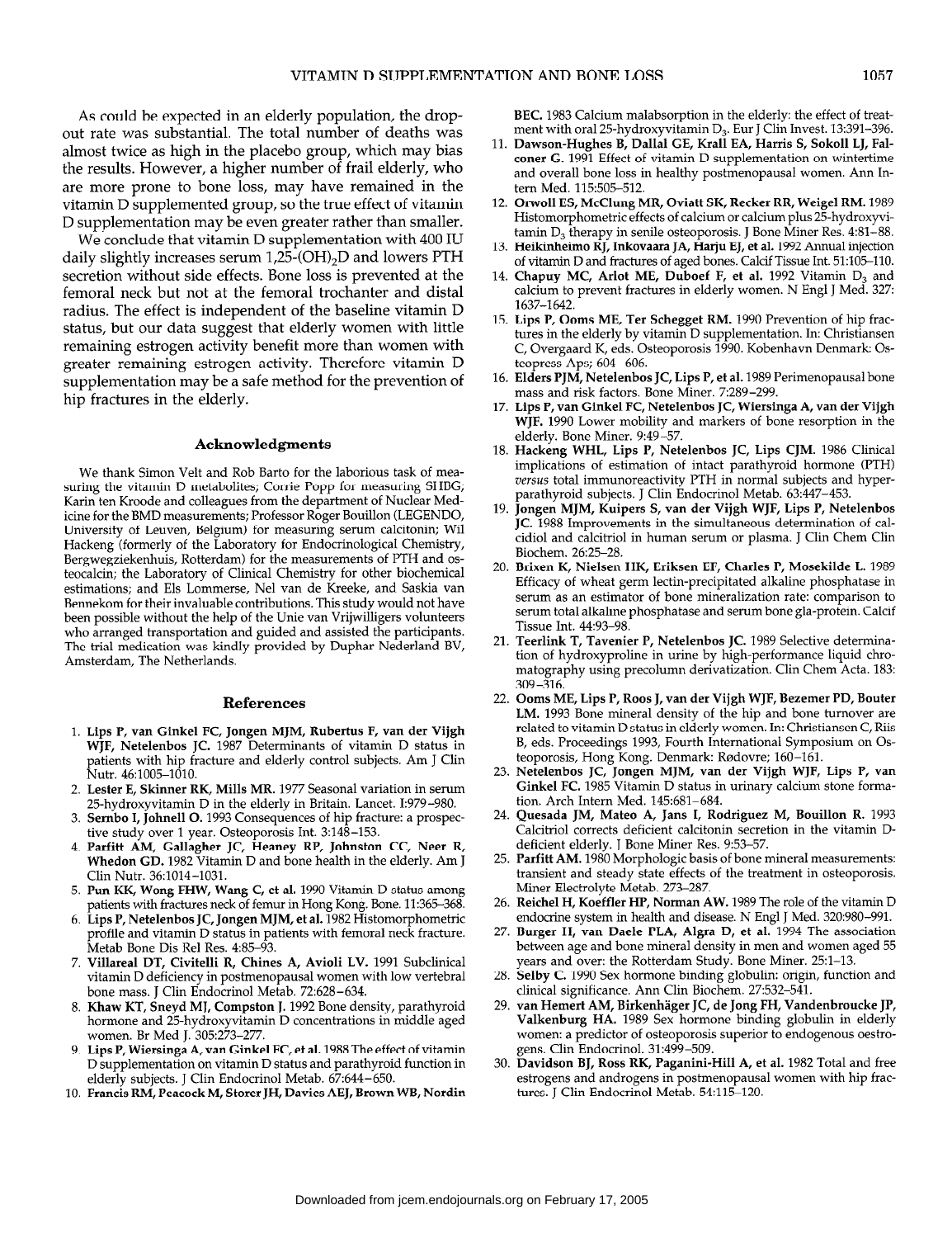As could be expected in an elderly population, the dropout rate was substantial. The total number of deaths was almost twice as high in the placebo group, which may bias the results. However, a higher number of frail elderly, who are more prone to bone loss, may have remained in the vitamin D supplemented group, so the true effect of vitamin D supplementation may be even greater rather than smaller.

We conclude that vitamin D supplementation with 400 IU daily slightly increases serum  $1,25$ -(OH)<sub>2</sub>D and lowers PTH secretion without side effects. Bone loss is prevented at the femoral neck but not at the femoral trochanter and distal radius. The effect is independent of the baseline vitamin D status, but our data suggest that elderly women with little remaining estrogen activity benefit more than women with greater remaining estrogen activity. Therefore vitamin D supplementation may be a safe method for the prevention of hip fractures in the elderly.

#### Acknowledgments

We thank Simon Velt and Rob Barto for the laborious task of measuring the vitamin D metabolites; Corrie Popp for measuring SHBG; Karin ten Kroode and colleagues from the department of Nuclear Medicine for the BMD measurements; Professor Roger Bouillon (LEGENDO, University of Leuven, Belgium) for measuring serum calcitonin; Wil Hackeng (formerly of the Laboratory for Endocrinological Chemistry, Bergwegziekenhuis, Rotterdam) for the measurements of PTH and osteocalcin; ihe Laboratory of Clinical Chemistry for other biochemical estimations; and Els Lommerse, Nel van de Kreeke, and Saskia van Bennekom for their invaluable contributions. This study would not have been possible without the help of the Unie van Vrijwilligers volunteers who arranged transportation and guided and assisted the participants. The trial medication was kindly provided by Duphar Nederland BV, Amsterdam, The Netherlands.

#### **References**

- $\overline{a}$ ,  $\overline{b}$  and  $\overline{c}$   $\overline{c}$  and  $\overline{c}$   $\overline{c}$   $\overline{c}$   $\overline{c}$   $\overline{c}$   $\overline{c}$   $\overline{c}$   $\overline{c}$   $\overline{c}$   $\overline{c}$   $\overline{c}$   $\overline{c}$   $\overline{c}$   $\overline{c}$   $\overline{c}$   $\overline{c}$   $\overline{c}$   $\overline{c}$   $\overline{c}$   $\overline{$ WJF, Netelenbos JC. 1987 Determinants of vitamin D status in patients with hip fracture and elderly control subjects. Am J Clin Nutr. 46:1005–1010.<br>2. Lester E, Skinner RK, Mills MR. 1977 Seasonal variation in serum
- 25-hydroxyvitamin D in the elderly in Britain. Lancet. 1:979-980.
- $\mathcal{L}_{\mathcal{D}}$  hydroxy via the  $\mathcal{L}_{\mathcal{D}}$  are checkly in Equation fracture: a prospectively set Sernbo I, Johnell O. 1993 Consequences of hip fracture: a prospective study over 1 year. Osteoporosis Int. 3:148-153.
- Parfitt AM, Gallagher JC, Heaney RP, Johnston CC, Neer R,  $\sum_{i=1}^{n}$  $\frac{1}{2}$  $P_{\text{min}}$  K and  $P_{\text{max}}$  is a linear contract and status among  $P_{\text{max}}$  status and status among  $P_{\text{max}}$
- 5. 6. patients, world fractures of the 1220 Franchi D status and patients with fractures neck of femur in Hong Kong. Bone. 11:365-368.
- 7. Lips P, Netelenbos JC, Jongen MJM, et al. 1982 Histomorphometric profile and vitamin D status in patients with femoral neck fracture. Metab Bone Dis Rel Res. 4:85-93.
- vinal definition  $\mu$ ,  $\mu$  in  $\mu$ ,  $\mu$  and  $\mu$  with  $\mu$  vertebral with  $\mu$ vitamin D deficiency in postmenopausal women with low vertebral bone mass. J Clin Endocrinol Metab. 72:628-634.
- Khaw KT, Sneyd MJ, Compston J. 1992 Bone density, parathyroid hormone and 25-hydroxyvitamin D concentrations in middle aged women. Br Med J. 305:273-277. Women, Br wied J,  $503.273 - 277$ .
- $Lips$ r, wiersinga A, van Ginkel FC, et al. 1966 The effect of vitamin D supplementation on vitamin D status and parathyroid function in elderly subjects. J Clin Endocrinol Metab. 67:644-650.<br>10. Francis RM, Peacock M, Storer JH, Davies AEJ, Brown WB, Nordin
- 

BEC. 1983 Calcium malabsorption in the elderly: the effect of treatment with oral 25-hydroxyvitamin D<sub>3</sub>. Eur J Clin Invest. 13:391-396.

- 11. Dawson-Hughes B, Dallal GE, Krall EA, Harris S, Sokoll LJ, Falconer G. 1991 Effect of vitamin D supplementation on wintertime and overall bone loss in healthy postmenopausal women. Ann Intern Med. 115:505-512.
- 12. Orwoll ES, McClung MR, Oviatt SK, Recker RR, Weigel RM. 1989 Histomorphometric effects of calcium or calcium plus 25-hydroxyvitamin  $D_3$  therapy in senile osteoporosis. J Bone Miner Res. 4:81-88.
- 13. Heikinheimo RL Inkovaara IA, Harju EL et al. 1992 Annual injectic of vitamin D and fractures of aged bones. Calcif Tissue Int. 51:105-110.
- 14. Chapuy MC, Arlot ME, Duboef F, et al. 1992 Vitamin D, and calcium to prevent fractures in elderly women. N Engl J Med. 327: 1637-1642.
- 15. Lips P, Ooms ME, Ter Schegget RM. 1990 Prevention of hip fractures in the elderly by vitamin D supplementation. In: Christiansen C, Overgaard K, eds. Osteoporosis 1990. Kobenhavn Denmark: Osteopress Aps; 604-606.
- 16 Elders PIM, Netelenbos IC, Lips P, et al. 1989 Perimenopausal bone mass and risk factors. Bone Miner. 7:289-299.
- 17. Lips P, van Ginkel FC, Netelenbos JC, Wiersinga A, van der Vijgh WJF. 1990 Lower mobility and markers of bone resorption in the elderly. Bone Miner. 9:49-57.
- 18. Hackeng WHL, Lips P, Netelenbos JC, Lips CJM, 1986 Clinic implications of estimation of intact parathyroid hormone (PTH) versus total immunoreactivity PTH in normal subjects and hyperparathyroid subjects. J Clin Endocrinol Metab. 63:447-453.
- 19. Jongen MIM, Kuipers S, van der Vijgh WJF, Lips P, Netelenb JC. 1988 Improvements in the simultaneous determination of calcidiol and calcitriol in human serum or plasma. J Clin Chem Clin Biochem. 26:25-28.
- 20. Brixen K, Nielsen HK, Eriksen EF, Charles P, Mosekilde L. 1989 Efficacy of wheat germ lectin-precipitated alkaline phosphatase in serum as an estimator of bone mineralization rate: comparison to serum total alkaline phosphatase and serum bone gla-protein. Calcif Tissue Int. 44:93-98.
- 21. Teerlink T, Tavenier P, Netelenbos JC. 1989 Selective determination of hydroxyproline in urine by high-performance liquid chromatography using precolumn derivatization. Clin Chem Acta. 183: 309-316.
- 22. Ooms ME, Lips P, Roos J, van der Vijgh WJF, Bezemer PD, Bouter LM. 1993 Bone mineral density of the hip and bone turnover are related to vitamin D status in elderly women. In: Christiansen C, Riis 8, eds. Proceedings 1993, Fourth International Symposium on Osteoporosis, Hong Kong. Denmark: Rødovre; 160-161.
- 23. Netelenbos JC, Jongen MJM, van der Vijgh WJF, Lips P, van Ginkel FC. 1985 Vitamin D status in urinary calcium stone formation. Arch Intern Med. 145:681-684.
- 24. Quesada JM, Mateo A, Jans I, Rodriguez M, Bouillon R. 1993 Calcitriol corrects deficient calcitonin secretion in the vitamin Ddeficient elderly. J Bone Miner Res. 9:53-57.
- $\alpha$ 5.  $\alpha$  *Partitional mineral mineral measurements*:  $\sim$  Reichel H, Koeffler H, Koeffler H, Norman Award H, Norman Award (1989 The role of the vitamin D,  $\sim$  1000 The vitamin D,  $\sim$  1000 The vitamin D,  $\sim$  1000 The vitamin D,  $\sim$  1000 The vitamin D,  $\sim$  1000 The vitam transient and steady state effects of the treatment in osteoporosis. Miner Electrolyte Metab. 273-287.
- $\frac{27.6}{27.6}$   $\frac{1}{27.6}$   $\frac{1}{27.6}$   $\frac{1}{27.6}$   $\frac{1}{27.6}$   $\frac{1}{27.6}$   $\frac{1}{27.6}$   $\frac{1}{27.6}$   $\frac{1}{27.6}$   $\frac{1}{27.6}$   $\frac{1}{27.6}$   $\frac{1}{27.6}$   $\frac{1}{27.6}$   $\frac{1}{27.6}$   $\frac{1}{27.6}$   $\frac{1}{27.6}$   $\frac{1}{27.6$ endocrine system in health and disease. N Engl J Med. 320:980-991.
- $\gamma$  cals and over, the Rotterdam Study. Bone inner,  $25.1 15.$ between age and bone mineral density in men and women aged 55 permetringe and bone maneral denoty in their disc models.
- 28. Selby C. 1990 Sex hormone binding globulin: origin, function and 29. van Hemert AM, Birkenhäger JC, de Jong FH, Vandenbroucke JP, van Hemert AM, Birkenhäger JC, de Jong FH, Vand
- van Hemert AM, Birkenhäger JC, de Jong FH, Vandenbroucke JP, Valkenburg HA. 1989 Sex hormone binding globulin in elderly women: a predictor of osteoporosis superior to endogenous oestro-<br>gens. Clin Endocrinol. 31:499–509.  $\frac{1}{2}$  being English BJ,  $\frac{1}{2}$ ,  $\frac{1}{2}$ ,  $\frac{1}{2}$ ,  $\frac{1}{2}$ ,  $\frac{1}{2}$
- $\boldsymbol{\mu}$  and  $\boldsymbol{\mu}$  and  $\boldsymbol{\mu}$  and  $\boldsymbol{\mu}$  and  $\boldsymbol{\mu}$  and  $\boldsymbol{\mu}$  and  $\boldsymbol{\mu}$  in  $\boldsymbol{\mu}$  and  $\boldsymbol{\mu}$  and  $\boldsymbol{\mu}$ estrogens and androgens in postmenopausal women with hip fractures. J Clin Endocrinol Metab. 54:115-120.